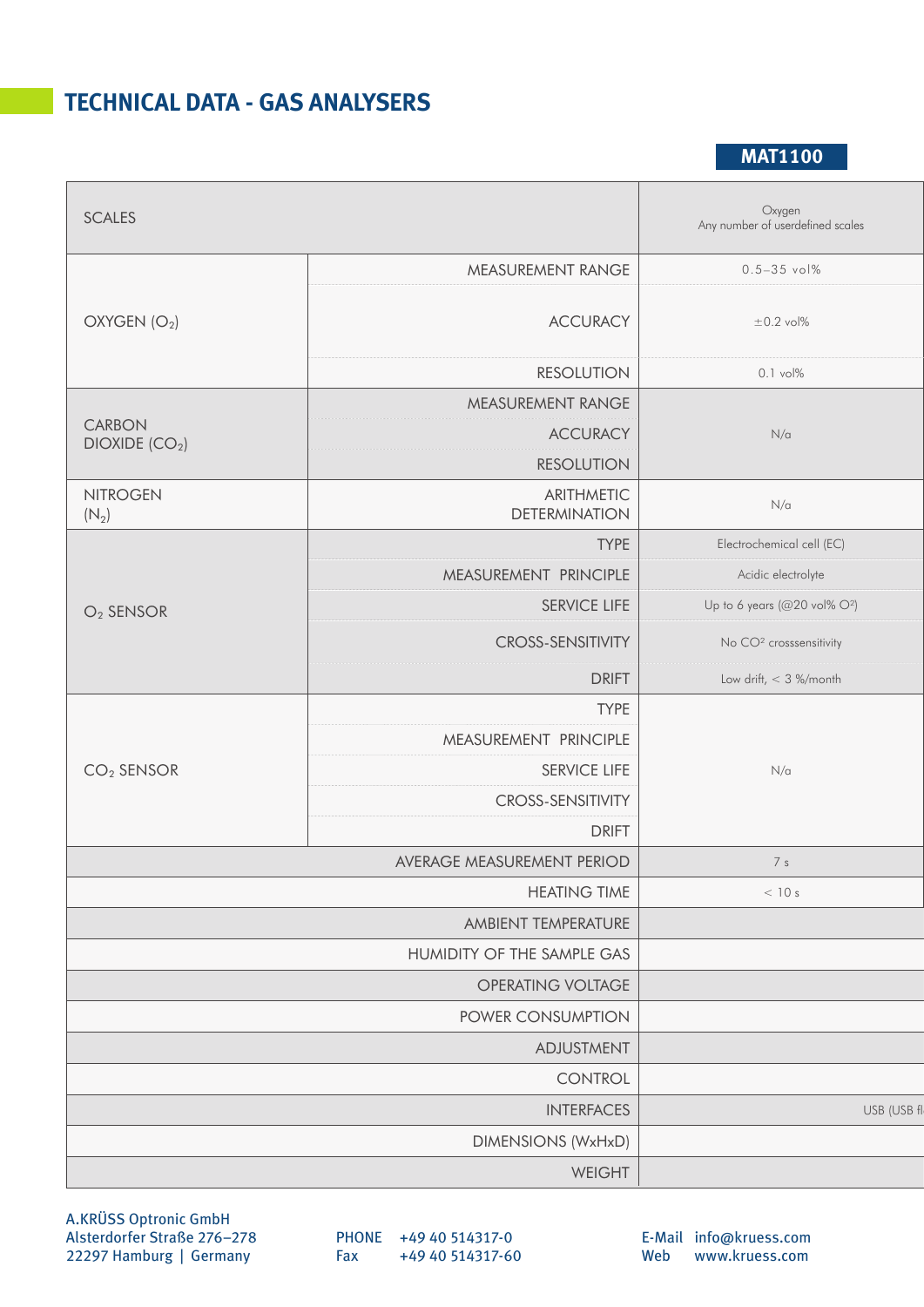## **TECHNICAL DATA - GAS ANALYSERS**

**MAT1100**

| SCALES                                      |                                    | Oxygen<br>Any number of userdefined scales |
|---------------------------------------------|------------------------------------|--------------------------------------------|
| OXYGEN(O <sub>2</sub> )                     | MEASUREMENT RANGE                  | $0.5 - 35$ vol%                            |
|                                             | <b>ACCURACY</b>                    | $\pm 0.2$ vol%                             |
|                                             | <b>RESOLUTION</b>                  | $0.1$ vol%                                 |
| <b>CARBON</b><br>DIOXIDE (CO <sub>2</sub> ) | MEASUREMENT RANGE                  | $N/\alpha$                                 |
|                                             | <b>ACCURACY</b>                    |                                            |
|                                             | <b>RESOLUTION</b>                  |                                            |
| <b>NITROGEN</b><br>$(N_2)$                  | ARITHMETIC<br><b>DETERMINATION</b> | $N/\alpha$                                 |
| $O2$ SENSOR                                 | <b>TYPE</b>                        | Electrochemical cell (EC)                  |
|                                             | MEASUREMENT PRINCIPLE              | Acidic electrolyte                         |
|                                             | SERVICE LIFE                       | Up to 6 years (@20 vol% $O^2$ )            |
|                                             | <b>CROSS-SENSITIVITY</b>           | No CO <sup>2</sup> crosssensitivity        |
|                                             | <b>DRIFT</b>                       | Low drift, $<$ 3 %/month                   |
|                                             | <b>TYPE</b>                        |                                            |
|                                             | MEASUREMENT PRINCIPLE              | $N/\alpha$                                 |
| $CO2$ SENSOR                                | SERVICE LIFE                       |                                            |
|                                             | <b>CROSS-SENSITIVITY</b>           |                                            |
|                                             | <b>DRIFT</b>                       |                                            |
|                                             | AVERAGE MEASUREMENT PERIOD         | 7 <sub>s</sub>                             |
| <b>HEATING TIME</b>                         |                                    | < 10 s                                     |
| AMBIENT TEMPERATURE                         |                                    |                                            |
| HUMIDITY OF THE SAMPLE GAS                  |                                    |                                            |
| OPERATING VOLTAGE                           |                                    |                                            |
| POWER CONSUMPTION                           |                                    |                                            |
| ADJUSTMENT                                  |                                    |                                            |
| CONTROL                                     |                                    |                                            |
| <b>INTERFACES</b>                           |                                    | USB (USB fl                                |
| <b>DIMENSIONS (WxHxD)</b>                   |                                    |                                            |
|                                             | WEIGHT                             |                                            |